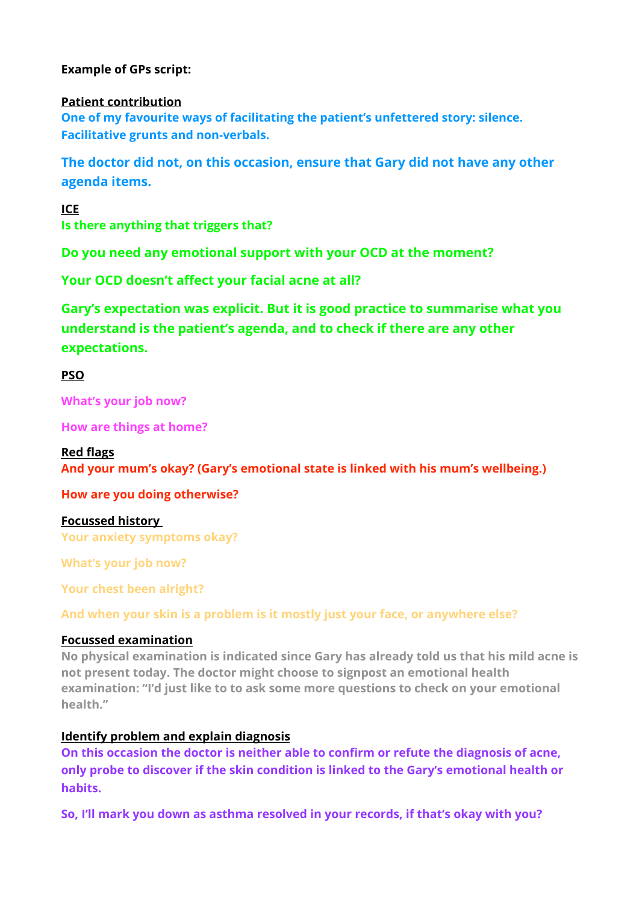## **Example of GPs script:**

#### **Patient contribution**

**One of my favourite ways of facilitating the patient's unfettered story: silence. Facilitative grunts and non-verbals.** 

**The doctor did not, on this occasion, ensure that Gary did not have any other agenda items.**

**ICE** 

**Is there anything that triggers that?**

**Do you need any emotional support with your OCD at the moment?** 

**Your OCD doesn't affect your facial acne at all?** 

**Gary's expectation was explicit. But it is good practice to summarise what you understand is the patient's agenda, and to check if there are any other expectations.** 

**PSO** 

**What's your job now?** 

**How are things at home?** 

#### **Red flags**

**And your mum's okay? (Gary's emotional state is linked with his mum's wellbeing.)** 

**How are you doing otherwise?** 

**Focussed history Your anxiety symptoms okay?** 

**What's your job now?** 

**Your chest been alright?** 

**And when your skin is a problem is it mostly just your face, or anywhere else?**

#### **Focussed examination**

**No physical examination is indicated since Gary has already told us that his mild acne is not present today. The doctor might choose to signpost an emotional health examination: "I'd just like to to ask some more questions to check on your emotional health."** 

#### **Identify problem and explain diagnosis**

**On this occasion the doctor is neither able to confirm or refute the diagnosis of acne, only probe to discover if the skin condition is linked to the Gary's emotional health or habits.**

**So, I'll mark you down as asthma resolved in your records, if that's okay with you?**